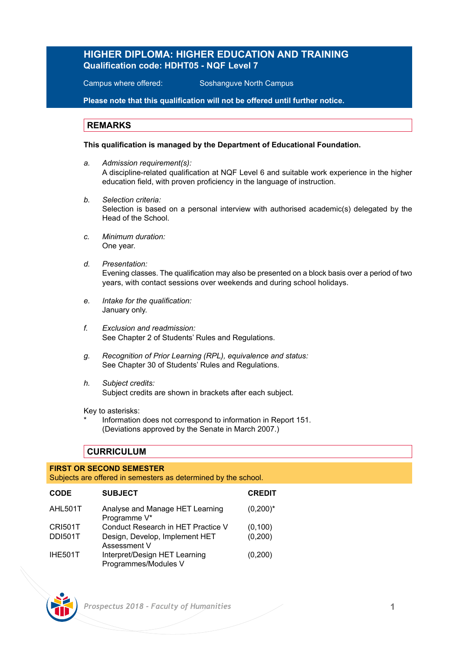# **HIGHER DIPLOMA: HIGHER EDUCATION AND TRAINING Qualification code: HDHT05 - NQF Level 7**

Campus where offered: Soshanguve North Campus

**Please note that this qualification will not be offered until further notice.** 

## **REMARKS**

### **This qualification is managed by the Department of Educational Foundation.**

- *a. Admission requirement(s):* A discipline-related qualification at NQF Level 6 and suitable work experience in the higher education field, with proven proficiency in the language of instruction.
- *b. Selection criteria:* Selection is based on a personal interview with authorised academic(s) delegated by the Head of the School.
- *c. Minimum duration:* One year.
- *d. Presentation:*  Evening classes. The qualification may also be presented on a block basis over a period of two years, with contact sessions over weekends and during school holidays.
- *e. Intake for the qualification:* January only.
- *f. Exclusion and readmission:* See Chapter 2 of Students' Rules and Regulations.
- *g. Recognition of Prior Learning (RPL), equivalence and status:* See Chapter 30 of Students' Rules and Regulations.
- *h. Subject credits:* Subject credits are shown in brackets after each subject.

Key to asterisks:

Information does not correspond to information in Report 151. (Deviations approved by the Senate in March 2007.)

# **CURRICULUM**

## **FIRST OR SECOND SEMESTER**

Subjects are offered in semesters as determined by the school.

| <b>CODE</b>    | <b>SUBJECT</b>                                        | <b>CREDIT</b> |
|----------------|-------------------------------------------------------|---------------|
| AHL501T        | Analyse and Manage HET Learning<br>Programme V*       | $(0,200)^*$   |
| <b>CRI501T</b> | Conduct Research in HET Practice V                    | (0, 100)      |
| <b>DDI501T</b> | Design, Develop, Implement HET<br>Assessment V        | (0, 200)      |
| <b>IHE501T</b> | Interpret/Design HET Learning<br>Programmes/Modules V | (0,200)       |